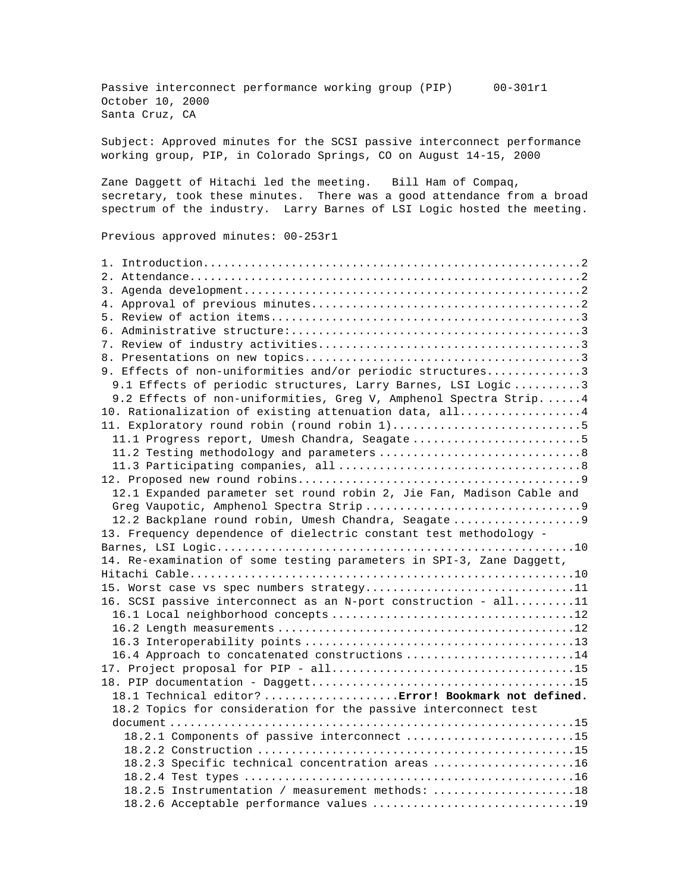Passive interconnect performance working group (PIP) 00-301r1 October 10, 2000 Santa Cruz, CA

Subject: Approved minutes for the SCSI passive interconnect performance working group, PIP, in Colorado Springs, CO on August 14-15, 2000

Zane Daggett of Hitachi led the meeting. Bill Ham of Compaq, secretary, took these minutes. There was a good attendance from a broad spectrum of the industry. Larry Barnes of LSI Logic hosted the meeting.

Previous approved minutes: 00-253r1

| 9. Effects of non-uniformities and/or periodic structures3            |
|-----------------------------------------------------------------------|
| 9.1 Effects of periodic structures, Larry Barnes, LSI Logic 3         |
| 9.2 Effects of non-uniformities, Greg V, Amphenol Spectra Strip 4     |
| 10. Rationalization of existing attenuation data, all4                |
|                                                                       |
| 11.1 Progress report, Umesh Chandra, Seagate5                         |
|                                                                       |
|                                                                       |
|                                                                       |
| 12.1 Expanded parameter set round robin 2, Jie Fan, Madison Cable and |
|                                                                       |
| 12.2 Backplane round robin, Umesh Chandra, Seagate9                   |
| 13. Frequency dependence of dielectric constant test methodology -    |
|                                                                       |
| 14. Re-examination of some testing parameters in SPI-3, Zane Daggett, |
|                                                                       |
| 15. Worst case vs spec numbers strategy11                             |
| 16. SCSI passive interconnect as an N-port construction - all11       |
|                                                                       |
|                                                                       |
|                                                                       |
| 16.4 Approach to concatenated constructions 14                        |
|                                                                       |
|                                                                       |
| 18.1 Technical editor? Error! Bookmark not defined.                   |
| 18.2 Topics for consideration for the passive interconnect test       |
|                                                                       |
| 18.2.1 Components of passive interconnect 15                          |
|                                                                       |
| 18.2.3 Specific technical concentration areas 16                      |
|                                                                       |
| 18.2.5 Instrumentation / measurement methods: 18                      |
|                                                                       |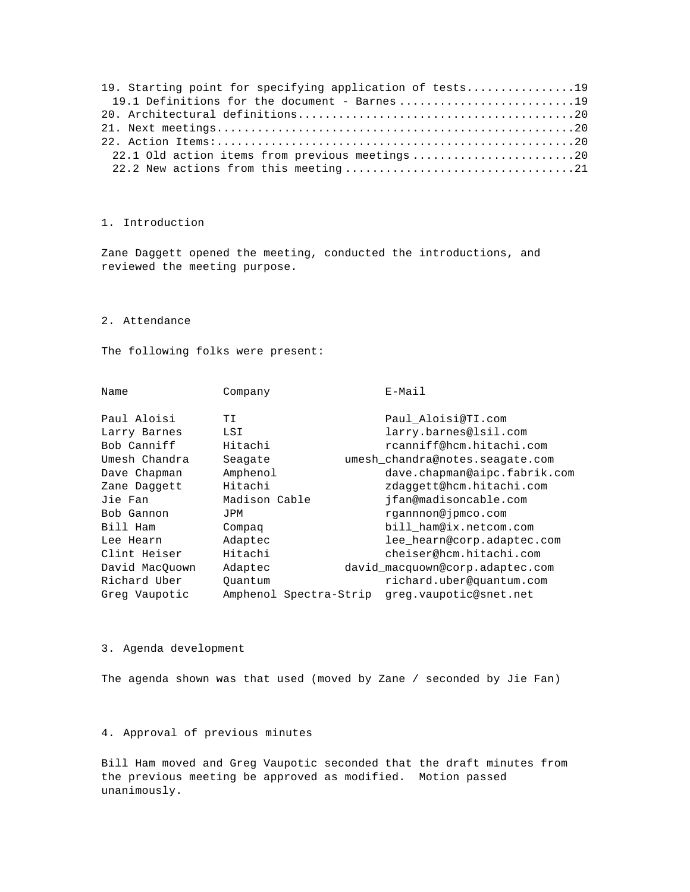| 19. Starting point for specifying application of tests19 |  |
|----------------------------------------------------------|--|
| 19.1 Definitions for the document - Barnes19             |  |
|                                                          |  |
|                                                          |  |
|                                                          |  |
| 22.1 Old action items from previous meetings20           |  |
|                                                          |  |

# 1. Introduction

Zane Daggett opened the meeting, conducted the introductions, and reviewed the meeting purpose.

2. Attendance

The following folks were present:

| Name           | Company                | $E-Mail$                        |
|----------------|------------------------|---------------------------------|
| Paul Aloisi    | ТI                     | Paul Aloisi@TI.com              |
| Larry Barnes   | LSI                    | larry.barnes@lsil.com           |
| Bob Canniff    | Hitachi                | rcanniff@hcm.hitachi.com        |
| Umesh Chandra  | Seagate                | umesh chandra@notes.seagate.com |
| Dave Chapman   | Amphenol               | dave.chapman@aipc.fabrik.com    |
| Zane Daggett   | Hitachi                | zdaggett@hcm.hitachi.com        |
| Jie Fan        | Madison Cable          | ifan@madisoncable.com           |
| Bob Gannon     | JPM                    | rgannnon@jpmco.com              |
| Bill Ham       | Compaq                 | bill ham@ix.netcom.com          |
| Lee Hearn      | Adaptec                | lee_hearn@corp.adaptec.com      |
| Clint Heiser   | Hitachi                | cheiser@hcm.hitachi.com         |
| David MacQuown | Adaptec                | david macquown@corp.adaptec.com |
| Richard Uber   | Ouantum                | richard.uber@quantum.com        |
| Greg Vaupotic  | Amphenol Spectra-Strip | greg.vaupotic@snet.net          |
|                |                        |                                 |

## 3. Agenda development

The agenda shown was that used (moved by Zane / seconded by Jie Fan)

# 4. Approval of previous minutes

Bill Ham moved and Greg Vaupotic seconded that the draft minutes from the previous meeting be approved as modified. Motion passed unanimously.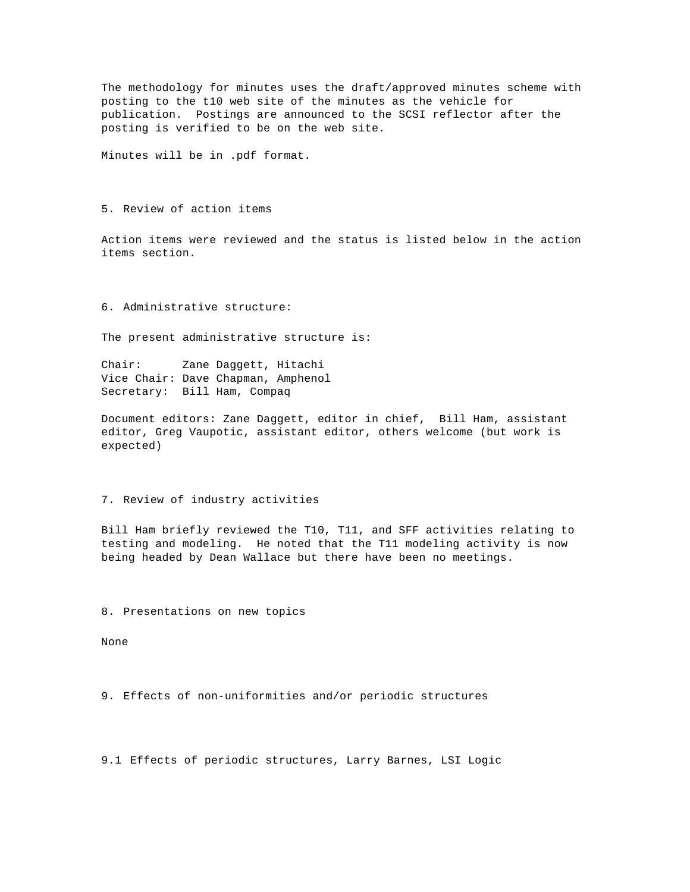The methodology for minutes uses the draft/approved minutes scheme with posting to the t10 web site of the minutes as the vehicle for publication. Postings are announced to the SCSI reflector after the posting is verified to be on the web site.

Minutes will be in .pdf format.

5. Review of action items

Action items were reviewed and the status is listed below in the action items section.

6. Administrative structure:

The present administrative structure is:

Chair: Zane Daggett, Hitachi Vice Chair: Dave Chapman, Amphenol Secretary: Bill Ham, Compaq

Document editors: Zane Daggett, editor in chief, Bill Ham, assistant editor, Greg Vaupotic, assistant editor, others welcome (but work is expected)

7. Review of industry activities

Bill Ham briefly reviewed the T10, T11, and SFF activities relating to testing and modeling. He noted that the T11 modeling activity is now being headed by Dean Wallace but there have been no meetings.

8. Presentations on new topics

None

9. Effects of non-uniformities and/or periodic structures

9.1 Effects of periodic structures, Larry Barnes, LSI Logic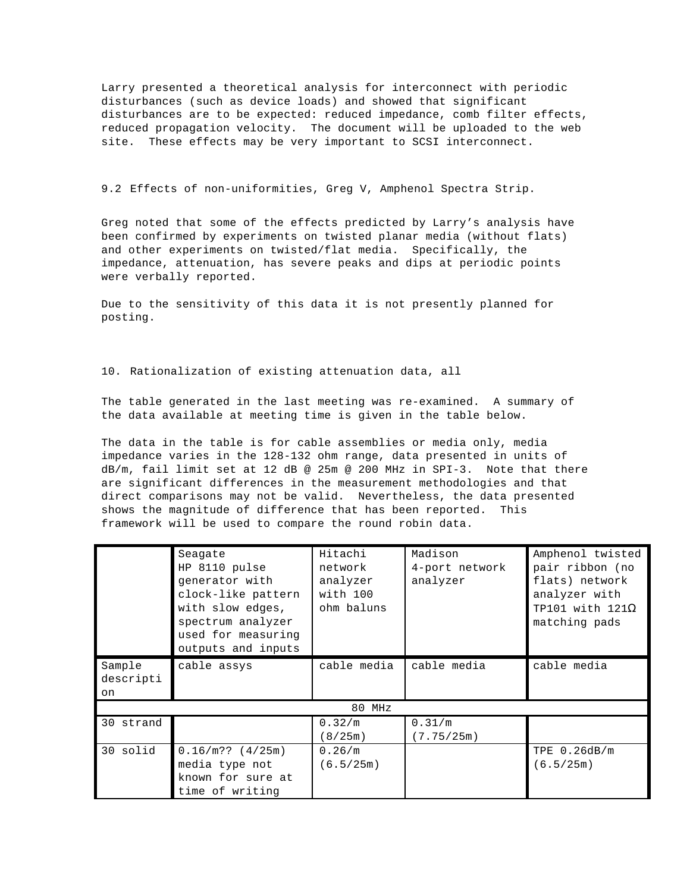Larry presented a theoretical analysis for interconnect with periodic disturbances (such as device loads) and showed that significant disturbances are to be expected: reduced impedance, comb filter effects, reduced propagation velocity. The document will be uploaded to the web site. These effects may be very important to SCSI interconnect.

9.2 Effects of non-uniformities, Greg V, Amphenol Spectra Strip.

Greg noted that some of the effects predicted by Larry's analysis have been confirmed by experiments on twisted planar media (without flats) and other experiments on twisted/flat media. Specifically, the impedance, attenuation, has severe peaks and dips at periodic points were verbally reported.

Due to the sensitivity of this data it is not presently planned for posting.

10. Rationalization of existing attenuation data, all

The table generated in the last meeting was re-examined. A summary of the data available at meeting time is given in the table below.

The data in the table is for cable assemblies or media only, media impedance varies in the 128-132 ohm range, data presented in units of dB/m, fail limit set at 12 dB @ 25m @ 200 MHz in SPI-3. Note that there are significant differences in the measurement methodologies and that direct comparisons may not be valid. Nevertheless, the data presented shows the magnitude of difference that has been reported. This framework will be used to compare the round robin data.

|           | Seagate               | Hitachi     | Madison        | Amphenol twisted       |  |
|-----------|-----------------------|-------------|----------------|------------------------|--|
|           | HP 8110 pulse         | network     | 4-port network | pair ribbon (no        |  |
|           | generator with        | analyzer    | analyzer       | flats) network         |  |
|           | clock-like pattern    | with 100    |                | analyzer with          |  |
|           | with slow edges,      | ohm baluns  |                | TP101 with $121\Omega$ |  |
|           | spectrum analyzer     |             |                | matching pads          |  |
|           | used for measuring    |             |                |                        |  |
|           | outputs and inputs    |             |                |                        |  |
| Sample    | cable assys           | cable media | cable media    | cable media            |  |
| descripti |                       |             |                |                        |  |
| on        |                       |             |                |                        |  |
| 80 MHz    |                       |             |                |                        |  |
| 30 strand |                       | 0.32/m      | 0.31/m         |                        |  |
|           |                       | (8/25m)     | (7.75/25m)     |                        |  |
| 30 solid  | $0.16/m$ ?? $(4/25m)$ | 0.26/m      |                | TPE 0.26dB/m           |  |
|           | media type not        | (6.5/25m)   |                | 6.5/25m                |  |
|           | known for sure at     |             |                |                        |  |
|           | time of writing       |             |                |                        |  |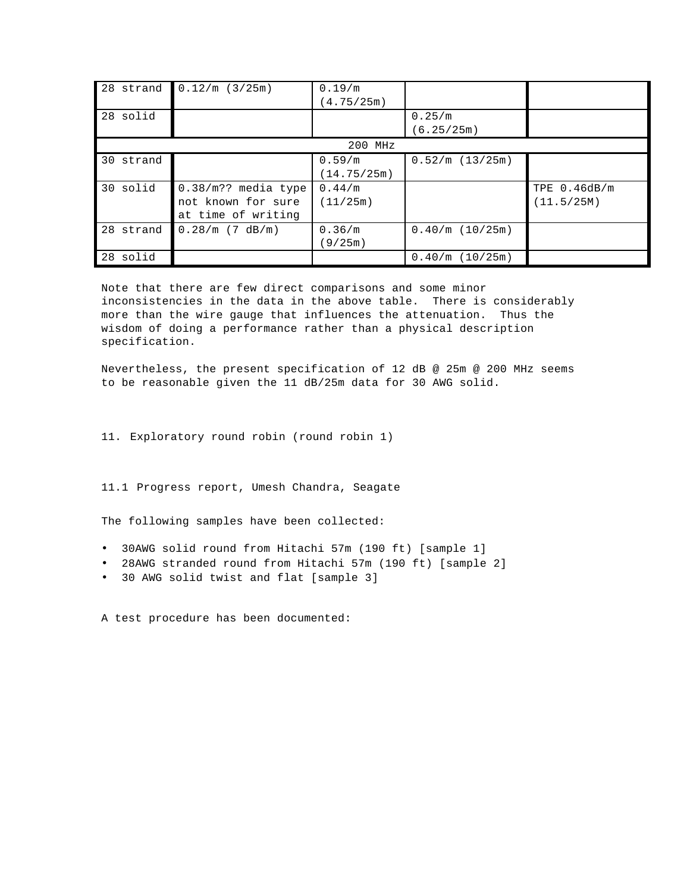| 28 strand | 0.12/m (3/25m)         | 0.19/m      |                 |              |  |  |
|-----------|------------------------|-------------|-----------------|--------------|--|--|
|           |                        | (4.75/25m)  |                 |              |  |  |
| 28 solid  |                        |             | 0.25/m          |              |  |  |
|           |                        |             | (6.25/25m)      |              |  |  |
| 200 MHz   |                        |             |                 |              |  |  |
| 30 strand |                        | 0.59/m      | 0.52/m (13/25m) |              |  |  |
|           |                        | (14.75/25m) |                 |              |  |  |
| 30 solid  | $0.38/m$ ?? media type | 0.44/m      |                 | TPE 0.46dB/m |  |  |
|           | not known for sure     | (11/25m)    |                 | (11.5/25M)   |  |  |
|           | at time of writing     |             |                 |              |  |  |
| 28 strand | $0.28/m$ (7 dB/m)      | 0.36/m      | 0.40/m (10/25m) |              |  |  |
|           |                        | (9/25m)     |                 |              |  |  |
| 28 solid  |                        |             | 0.40/m (10/25m) |              |  |  |

Note that there are few direct comparisons and some minor inconsistencies in the data in the above table. There is considerably more than the wire gauge that influences the attenuation. Thus the wisdom of doing a performance rather than a physical description specification.

Nevertheless, the present specification of 12 dB @ 25m @ 200 MHz seems to be reasonable given the 11 dB/25m data for 30 AWG solid.

11. Exploratory round robin (round robin 1)

11.1 Progress report, Umesh Chandra, Seagate

The following samples have been collected:

- 30AWG solid round from Hitachi 57m (190 ft) [sample 1]
- 28AWG stranded round from Hitachi 57m (190 ft) [sample 2]
- 30 AWG solid twist and flat [sample 3]

A test procedure has been documented: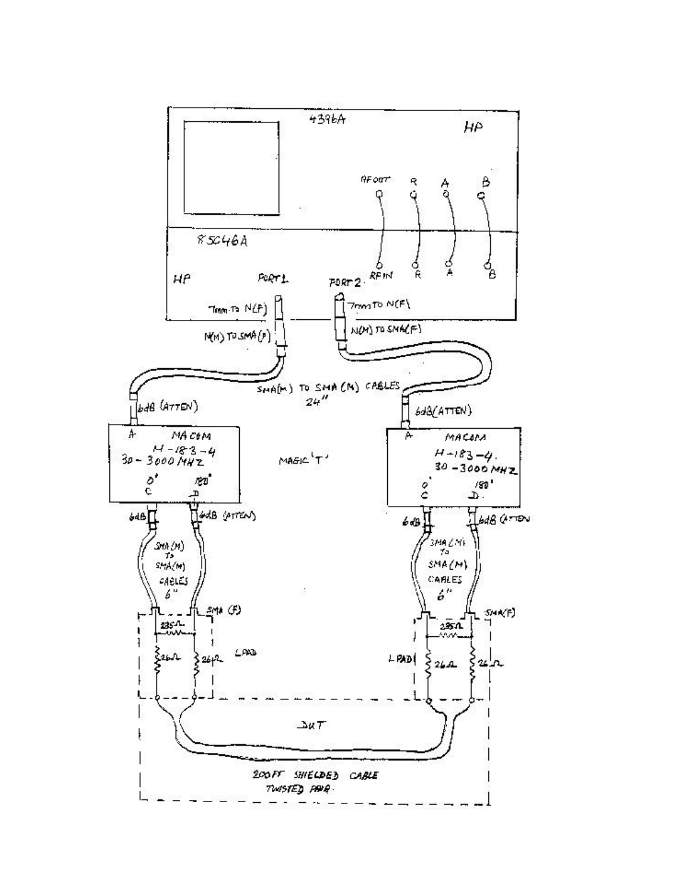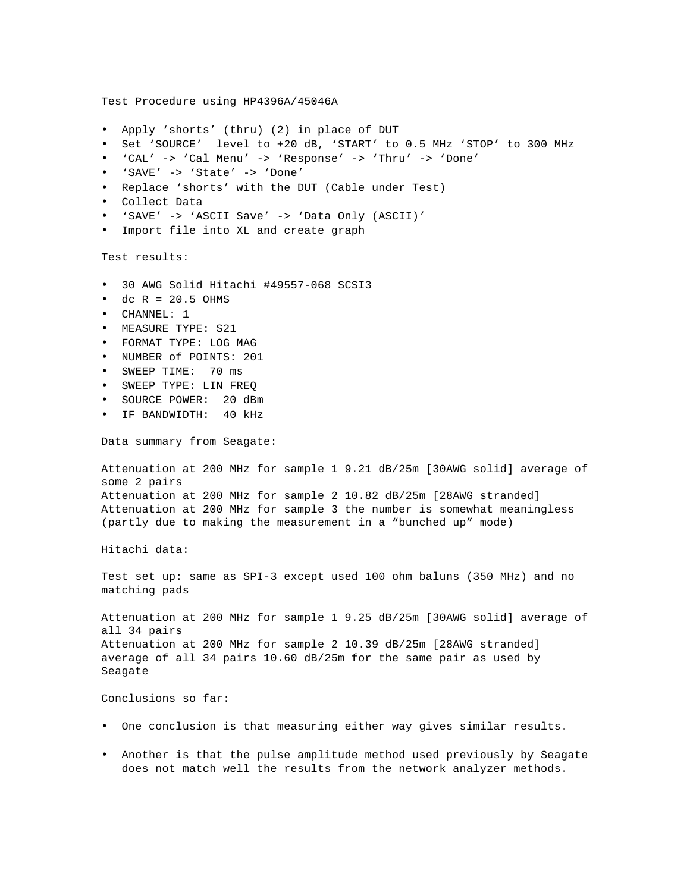Test Procedure using HP4396A/45046A • Apply 'shorts' (thru) (2) in place of DUT • Set 'SOURCE' level to +20 dB, 'START' to 0.5 MHz 'STOP' to 300 MHz • 'CAL' -> 'Cal Menu' -> 'Response' -> 'Thru' -> 'Done' • 'SAVE' -> 'State' -> 'Done' • Replace 'shorts' with the DUT (Cable under Test) • Collect Data • 'SAVE' -> 'ASCII Save' -> 'Data Only (ASCII)' • Import file into XL and create graph Test results: • 30 AWG Solid Hitachi #49557-068 SCSI3  $\bullet$  dc R = 20.5 OHMS • CHANNEL: 1 • MEASURE TYPE: S21 • FORMAT TYPE: LOG MAG • NUMBER of POINTS: 201 • SWEEP TIME: 70 ms • SWEEP TYPE: LIN FREQ • SOURCE POWER: 20 dBm • IF BANDWIDTH: 40 kHz Data summary from Seagate: Attenuation at 200 MHz for sample 1 9.21 dB/25m [30AWG solid] average of some 2 pairs Attenuation at 200 MHz for sample 2 10.82 dB/25m [28AWG stranded] Attenuation at 200 MHz for sample 3 the number is somewhat meaningless (partly due to making the measurement in a "bunched up" mode) Hitachi data: Test set up: same as SPI-3 except used 100 ohm baluns (350 MHz) and no matching pads Attenuation at 200 MHz for sample 1 9.25 dB/25m [30AWG solid] average of all 34 pairs Attenuation at 200 MHz for sample 2 10.39 dB/25m [28AWG stranded] average of all 34 pairs 10.60 dB/25m for the same pair as used by Seagate Conclusions so far: • One conclusion is that measuring either way gives similar results. • Another is that the pulse amplitude method used previously by Seagate

does not match well the results from the network analyzer methods.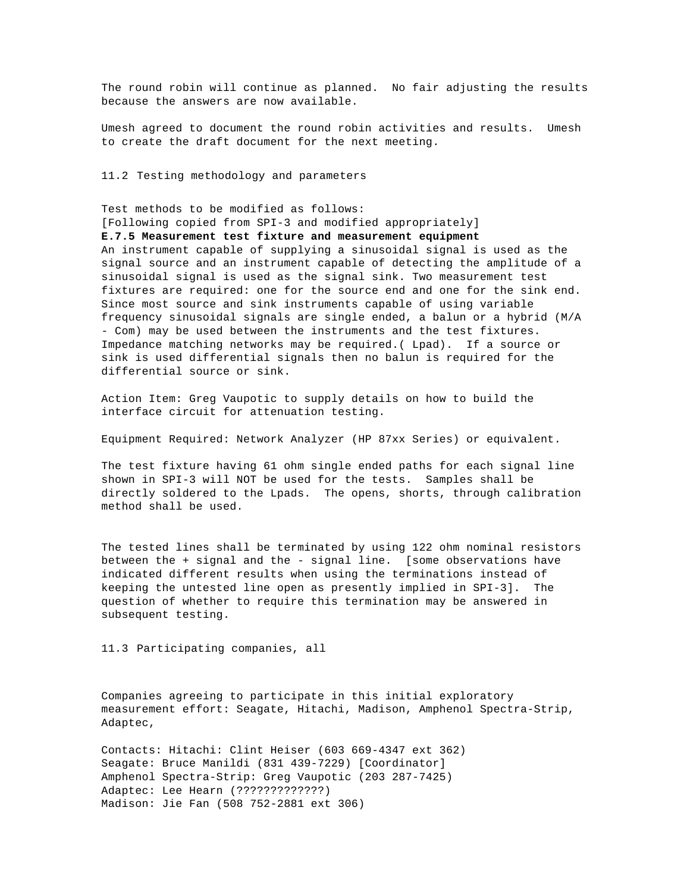The round robin will continue as planned. No fair adjusting the results because the answers are now available.

Umesh agreed to document the round robin activities and results. Umesh to create the draft document for the next meeting.

11.2 Testing methodology and parameters

Test methods to be modified as follows:

[Following copied from SPI-3 and modified appropriately]

#### **E.7.5 Measurement test fixture and measurement equipment**

An instrument capable of supplying a sinusoidal signal is used as the signal source and an instrument capable of detecting the amplitude of a sinusoidal signal is used as the signal sink. Two measurement test fixtures are required: one for the source end and one for the sink end. Since most source and sink instruments capable of using variable frequency sinusoidal signals are single ended, a balun or a hybrid (M/A - Com) may be used between the instruments and the test fixtures. Impedance matching networks may be required.( Lpad). If a source or sink is used differential signals then no balun is required for the differential source or sink.

Action Item: Greg Vaupotic to supply details on how to build the interface circuit for attenuation testing.

Equipment Required: Network Analyzer (HP 87xx Series) or equivalent.

The test fixture having 61 ohm single ended paths for each signal line shown in SPI-3 will NOT be used for the tests. Samples shall be directly soldered to the Lpads. The opens, shorts, through calibration method shall be used.

The tested lines shall be terminated by using 122 ohm nominal resistors between the + signal and the - signal line. [some observations have indicated different results when using the terminations instead of keeping the untested line open as presently implied in SPI-3]. The question of whether to require this termination may be answered in subsequent testing.

11.3 Participating companies, all

Companies agreeing to participate in this initial exploratory measurement effort: Seagate, Hitachi, Madison, Amphenol Spectra-Strip, Adaptec,

Contacts: Hitachi: Clint Heiser (603 669-4347 ext 362) Seagate: Bruce Manildi (831 439-7229) [Coordinator] Amphenol Spectra-Strip: Greg Vaupotic (203 287-7425) Adaptec: Lee Hearn (?????????????) Madison: Jie Fan (508 752-2881 ext 306)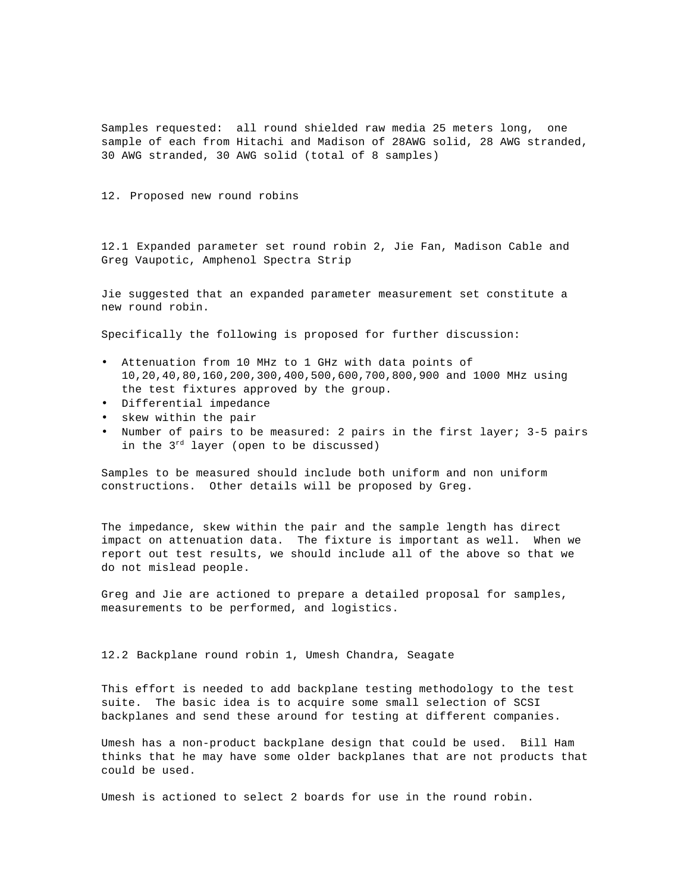Samples requested: all round shielded raw media 25 meters long, one sample of each from Hitachi and Madison of 28AWG solid, 28 AWG stranded, 30 AWG stranded, 30 AWG solid (total of 8 samples)

12. Proposed new round robins

12.1 Expanded parameter set round robin 2, Jie Fan, Madison Cable and Greg Vaupotic, Amphenol Spectra Strip

Jie suggested that an expanded parameter measurement set constitute a new round robin.

Specifically the following is proposed for further discussion:

- Attenuation from 10 MHz to 1 GHz with data points of 10,20,40,80,160,200,300,400,500,600,700,800,900 and 1000 MHz using the test fixtures approved by the group.
- Differential impedance
- skew within the pair
- Number of pairs to be measured: 2 pairs in the first layer; 3-5 pairs in the  $3^{rd}$  layer (open to be discussed)

Samples to be measured should include both uniform and non uniform constructions. Other details will be proposed by Greg.

The impedance, skew within the pair and the sample length has direct impact on attenuation data. The fixture is important as well. When we report out test results, we should include all of the above so that we do not mislead people.

Greg and Jie are actioned to prepare a detailed proposal for samples, measurements to be performed, and logistics.

12.2 Backplane round robin 1, Umesh Chandra, Seagate

This effort is needed to add backplane testing methodology to the test suite. The basic idea is to acquire some small selection of SCSI backplanes and send these around for testing at different companies.

Umesh has a non-product backplane design that could be used. Bill Ham thinks that he may have some older backplanes that are not products that could be used.

Umesh is actioned to select 2 boards for use in the round robin.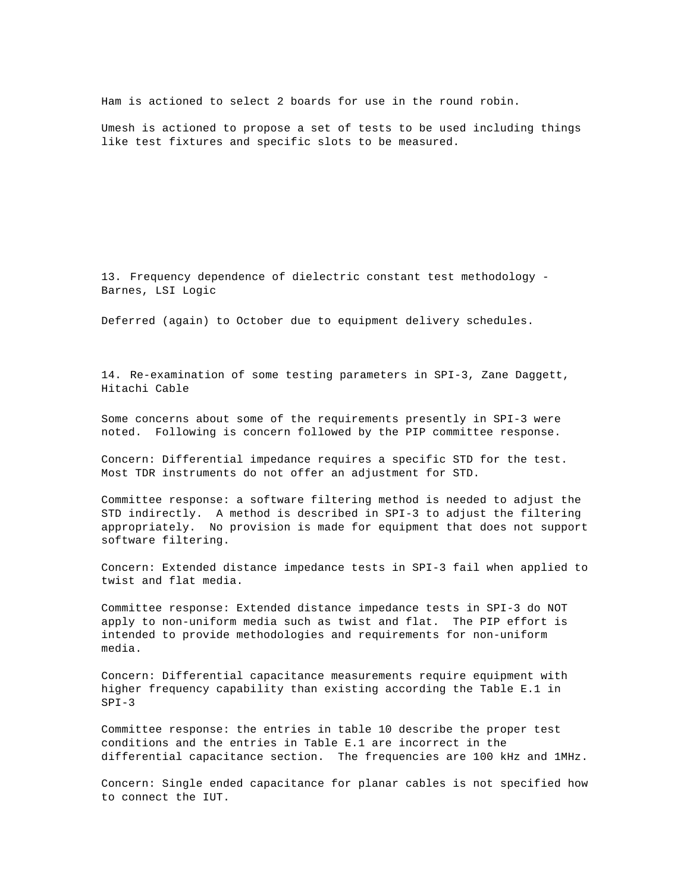Ham is actioned to select 2 boards for use in the round robin.

Umesh is actioned to propose a set of tests to be used including things like test fixtures and specific slots to be measured.

13. Frequency dependence of dielectric constant test methodology - Barnes, LSI Logic

Deferred (again) to October due to equipment delivery schedules.

14. Re-examination of some testing parameters in SPI-3, Zane Daggett, Hitachi Cable

Some concerns about some of the requirements presently in SPI-3 were noted. Following is concern followed by the PIP committee response.

Concern: Differential impedance requires a specific STD for the test. Most TDR instruments do not offer an adjustment for STD.

Committee response: a software filtering method is needed to adjust the STD indirectly. A method is described in SPI-3 to adjust the filtering appropriately. No provision is made for equipment that does not support software filtering.

Concern: Extended distance impedance tests in SPI-3 fail when applied to twist and flat media.

Committee response: Extended distance impedance tests in SPI-3 do NOT apply to non-uniform media such as twist and flat. The PIP effort is intended to provide methodologies and requirements for non-uniform media.

Concern: Differential capacitance measurements require equipment with higher frequency capability than existing according the Table E.1 in SPI-3

Committee response: the entries in table 10 describe the proper test conditions and the entries in Table E.1 are incorrect in the differential capacitance section. The frequencies are 100 kHz and 1MHz.

Concern: Single ended capacitance for planar cables is not specified how to connect the IUT.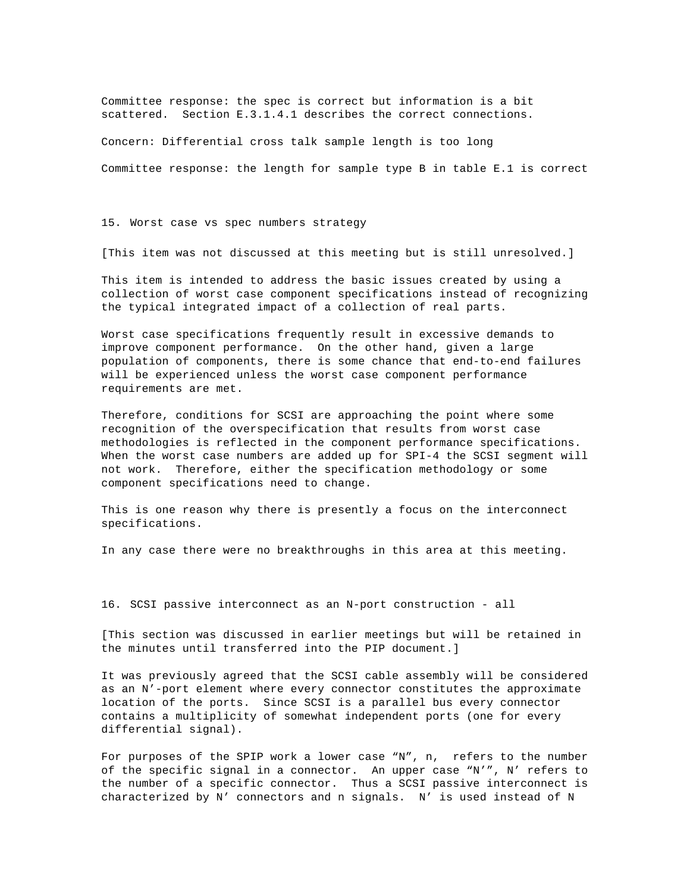Committee response: the spec is correct but information is a bit scattered. Section E.3.1.4.1 describes the correct connections.

Concern: Differential cross talk sample length is too long

Committee response: the length for sample type B in table E.1 is correct

15. Worst case vs spec numbers strategy

[This item was not discussed at this meeting but is still unresolved.]

This item is intended to address the basic issues created by using a collection of worst case component specifications instead of recognizing the typical integrated impact of a collection of real parts.

Worst case specifications frequently result in excessive demands to improve component performance. On the other hand, given a large population of components, there is some chance that end-to-end failures will be experienced unless the worst case component performance requirements are met.

Therefore, conditions for SCSI are approaching the point where some recognition of the overspecification that results from worst case methodologies is reflected in the component performance specifications. When the worst case numbers are added up for SPI-4 the SCSI segment will not work. Therefore, either the specification methodology or some component specifications need to change.

This is one reason why there is presently a focus on the interconnect specifications.

In any case there were no breakthroughs in this area at this meeting.

16. SCSI passive interconnect as an N-port construction - all

[This section was discussed in earlier meetings but will be retained in the minutes until transferred into the PIP document.]

It was previously agreed that the SCSI cable assembly will be considered as an N'-port element where every connector constitutes the approximate location of the ports. Since SCSI is a parallel bus every connector contains a multiplicity of somewhat independent ports (one for every differential signal).

For purposes of the SPIP work a lower case "N", n, refers to the number of the specific signal in a connector. An upper case "N'", N' refers to the number of a specific connector. Thus a SCSI passive interconnect is characterized by N' connectors and n signals. N' is used instead of N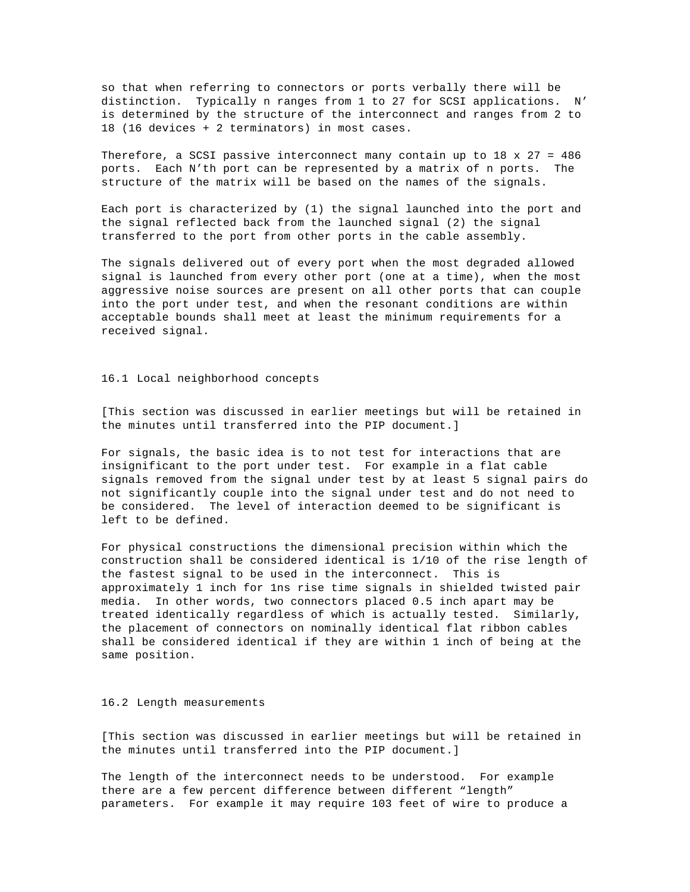so that when referring to connectors or ports verbally there will be distinction. Typically n ranges from 1 to 27 for SCSI applications. N' is determined by the structure of the interconnect and ranges from 2 to 18 (16 devices + 2 terminators) in most cases.

Therefore, a SCSI passive interconnect many contain up to 18 x 27 = 486 ports. Each N'th port can be represented by a matrix of n ports. The structure of the matrix will be based on the names of the signals.

Each port is characterized by (1) the signal launched into the port and the signal reflected back from the launched signal (2) the signal transferred to the port from other ports in the cable assembly.

The signals delivered out of every port when the most degraded allowed signal is launched from every other port (one at a time), when the most aggressive noise sources are present on all other ports that can couple into the port under test, and when the resonant conditions are within acceptable bounds shall meet at least the minimum requirements for a received signal.

#### 16.1 Local neighborhood concepts

[This section was discussed in earlier meetings but will be retained in the minutes until transferred into the PIP document.]

For signals, the basic idea is to not test for interactions that are insignificant to the port under test. For example in a flat cable signals removed from the signal under test by at least 5 signal pairs do not significantly couple into the signal under test and do not need to be considered. The level of interaction deemed to be significant is left to be defined.

For physical constructions the dimensional precision within which the construction shall be considered identical is 1/10 of the rise length of the fastest signal to be used in the interconnect. This is approximately 1 inch for 1ns rise time signals in shielded twisted pair media. In other words, two connectors placed 0.5 inch apart may be treated identically regardless of which is actually tested. Similarly, the placement of connectors on nominally identical flat ribbon cables shall be considered identical if they are within 1 inch of being at the same position.

#### 16.2 Length measurements

[This section was discussed in earlier meetings but will be retained in the minutes until transferred into the PIP document.]

The length of the interconnect needs to be understood. For example there are a few percent difference between different "length" parameters. For example it may require 103 feet of wire to produce a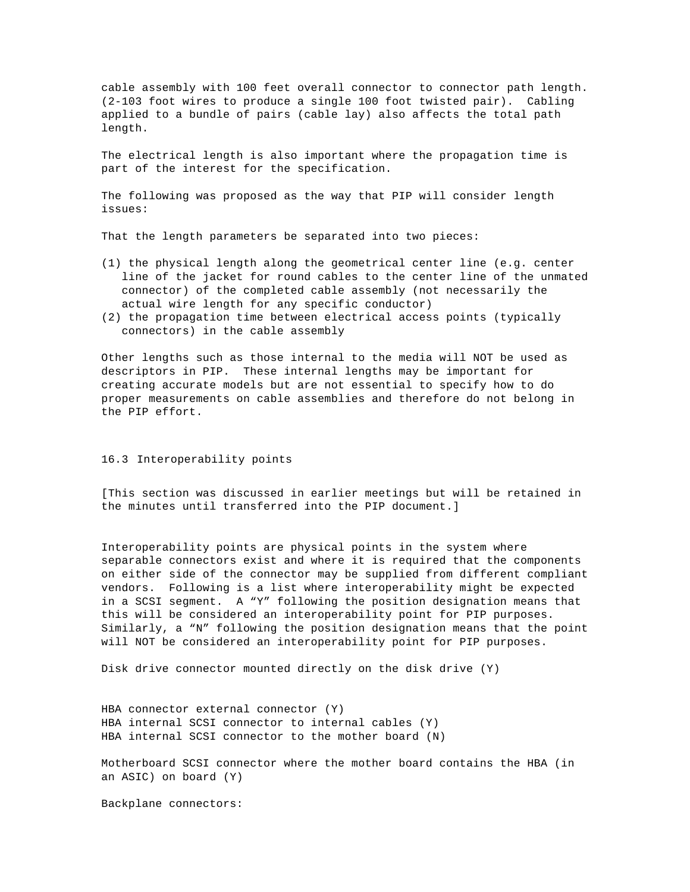cable assembly with 100 feet overall connector to connector path length. (2-103 foot wires to produce a single 100 foot twisted pair). Cabling applied to a bundle of pairs (cable lay) also affects the total path length.

The electrical length is also important where the propagation time is part of the interest for the specification.

The following was proposed as the way that PIP will consider length issues:

That the length parameters be separated into two pieces:

- (1) the physical length along the geometrical center line (e.g. center line of the jacket for round cables to the center line of the unmated connector) of the completed cable assembly (not necessarily the actual wire length for any specific conductor)
- (2) the propagation time between electrical access points (typically connectors) in the cable assembly

Other lengths such as those internal to the media will NOT be used as descriptors in PIP. These internal lengths may be important for creating accurate models but are not essential to specify how to do proper measurements on cable assemblies and therefore do not belong in the PIP effort.

#### 16.3 Interoperability points

[This section was discussed in earlier meetings but will be retained in the minutes until transferred into the PIP document.]

Interoperability points are physical points in the system where separable connectors exist and where it is required that the components on either side of the connector may be supplied from different compliant vendors. Following is a list where interoperability might be expected in a SCSI segment. A "Y" following the position designation means that this will be considered an interoperability point for PIP purposes. Similarly, a "N" following the position designation means that the point will NOT be considered an interoperability point for PIP purposes.

Disk drive connector mounted directly on the disk drive (Y)

HBA connector external connector (Y) HBA internal SCSI connector to internal cables (Y) HBA internal SCSI connector to the mother board (N)

Motherboard SCSI connector where the mother board contains the HBA (in an ASIC) on board (Y)

Backplane connectors: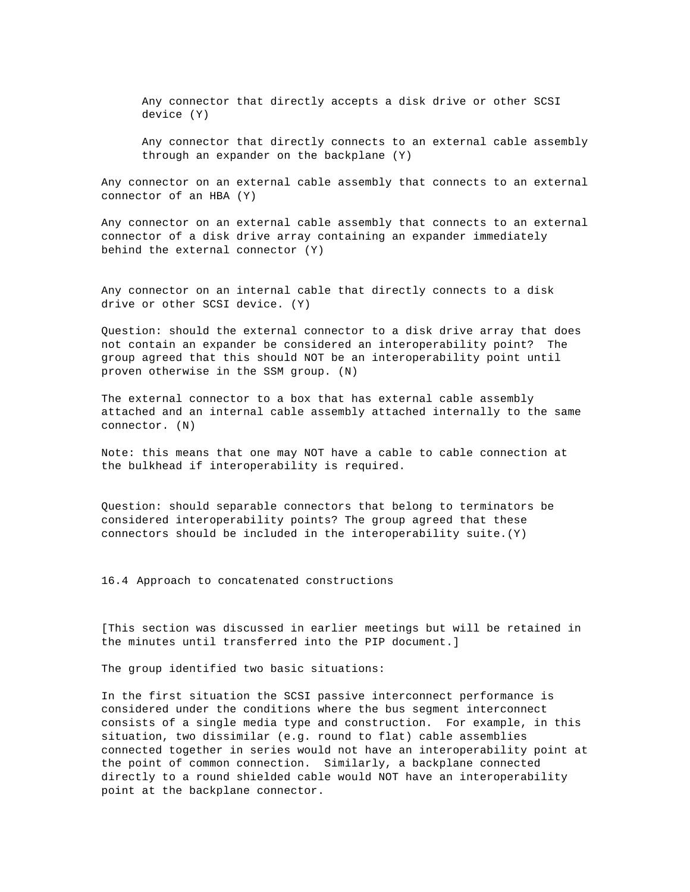Any connector that directly accepts a disk drive or other SCSI device (Y)

Any connector that directly connects to an external cable assembly through an expander on the backplane (Y)

Any connector on an external cable assembly that connects to an external connector of an HBA (Y)

Any connector on an external cable assembly that connects to an external connector of a disk drive array containing an expander immediately behind the external connector (Y)

Any connector on an internal cable that directly connects to a disk drive or other SCSI device. (Y)

Question: should the external connector to a disk drive array that does not contain an expander be considered an interoperability point? The group agreed that this should NOT be an interoperability point until proven otherwise in the SSM group. (N)

The external connector to a box that has external cable assembly attached and an internal cable assembly attached internally to the same connector. (N)

Note: this means that one may NOT have a cable to cable connection at the bulkhead if interoperability is required.

Question: should separable connectors that belong to terminators be considered interoperability points? The group agreed that these connectors should be included in the interoperability suite.(Y)

16.4 Approach to concatenated constructions

[This section was discussed in earlier meetings but will be retained in the minutes until transferred into the PIP document.]

The group identified two basic situations:

In the first situation the SCSI passive interconnect performance is considered under the conditions where the bus segment interconnect consists of a single media type and construction. For example, in this situation, two dissimilar (e.g. round to flat) cable assemblies connected together in series would not have an interoperability point at the point of common connection. Similarly, a backplane connected directly to a round shielded cable would NOT have an interoperability point at the backplane connector.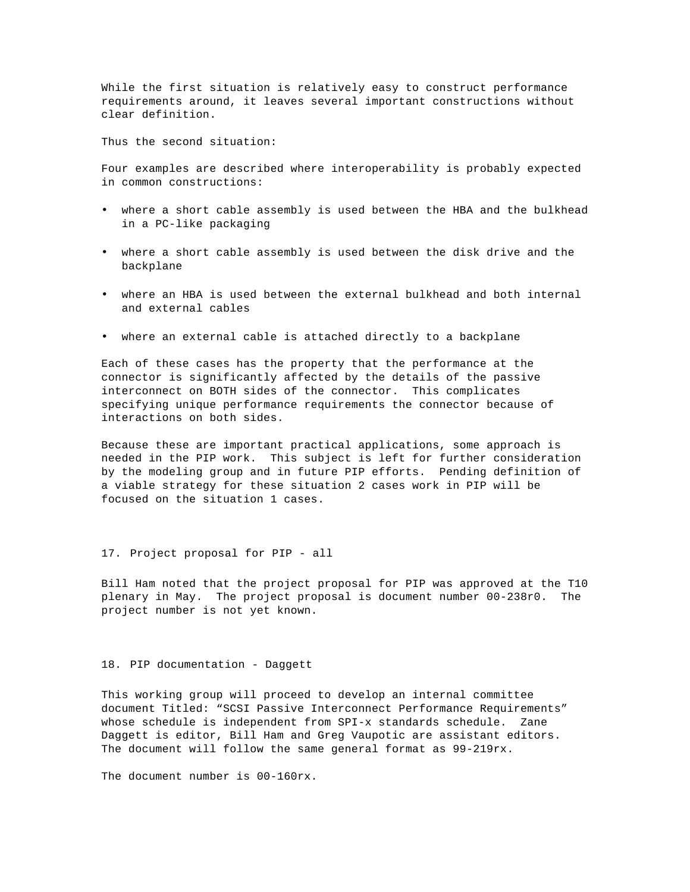While the first situation is relatively easy to construct performance requirements around, it leaves several important constructions without clear definition.

Thus the second situation:

Four examples are described where interoperability is probably expected in common constructions:

- where a short cable assembly is used between the HBA and the bulkhead in a PC-like packaging
- where a short cable assembly is used between the disk drive and the backplane
- where an HBA is used between the external bulkhead and both internal and external cables
- where an external cable is attached directly to a backplane

Each of these cases has the property that the performance at the connector is significantly affected by the details of the passive interconnect on BOTH sides of the connector. This complicates specifying unique performance requirements the connector because of interactions on both sides.

Because these are important practical applications, some approach is needed in the PIP work. This subject is left for further consideration by the modeling group and in future PIP efforts. Pending definition of a viable strategy for these situation 2 cases work in PIP will be focused on the situation 1 cases.

#### 17. Project proposal for PIP - all

Bill Ham noted that the project proposal for PIP was approved at the T10 plenary in May. The project proposal is document number 00-238r0. The project number is not yet known.

#### 18. PIP documentation - Daggett

This working group will proceed to develop an internal committee document Titled: "SCSI Passive Interconnect Performance Requirements" whose schedule is independent from SPI-x standards schedule. Zane Daggett is editor, Bill Ham and Greg Vaupotic are assistant editors. The document will follow the same general format as 99-219rx.

The document number is 00-160rx.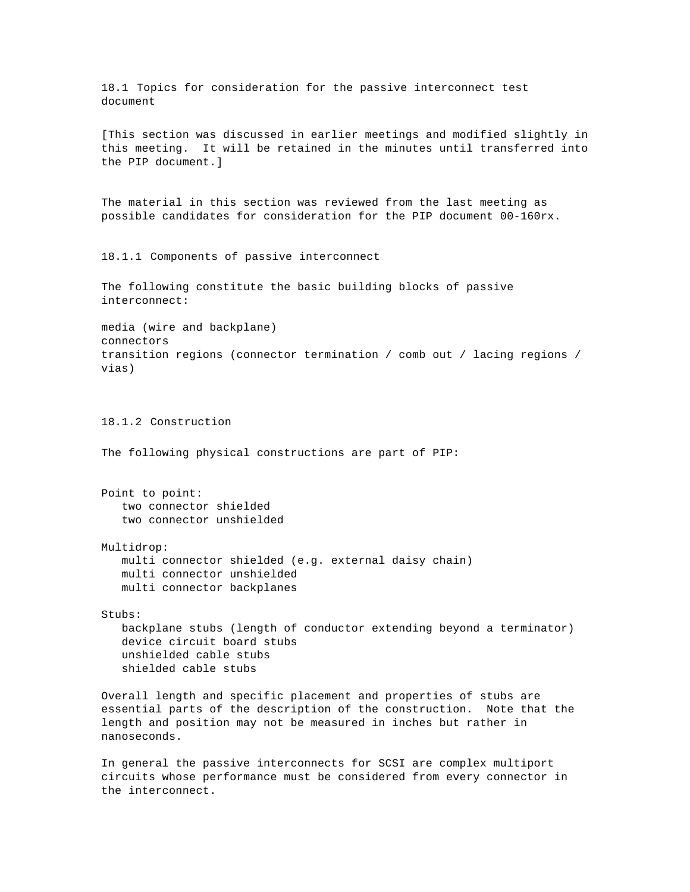18.1 Topics for consideration for the passive interconnect test document

[This section was discussed in earlier meetings and modified slightly in this meeting. It will be retained in the minutes until transferred into the PIP document.]

The material in this section was reviewed from the last meeting as possible candidates for consideration for the PIP document 00-160rx.

18.1.1 Components of passive interconnect

The following constitute the basic building blocks of passive interconnect:

media (wire and backplane) connectors transition regions (connector termination / comb out / lacing regions / vias)

18.1.2 Construction

The following physical constructions are part of PIP:

Point to point: two connector shielded two connector unshielded

Multidrop:

multi connector shielded (e.g. external daisy chain) multi connector unshielded multi connector backplanes

Stubs:

backplane stubs (length of conductor extending beyond a terminator) device circuit board stubs unshielded cable stubs shielded cable stubs

Overall length and specific placement and properties of stubs are essential parts of the description of the construction. Note that the length and position may not be measured in inches but rather in nanoseconds.

In general the passive interconnects for SCSI are complex multiport circuits whose performance must be considered from every connector in the interconnect.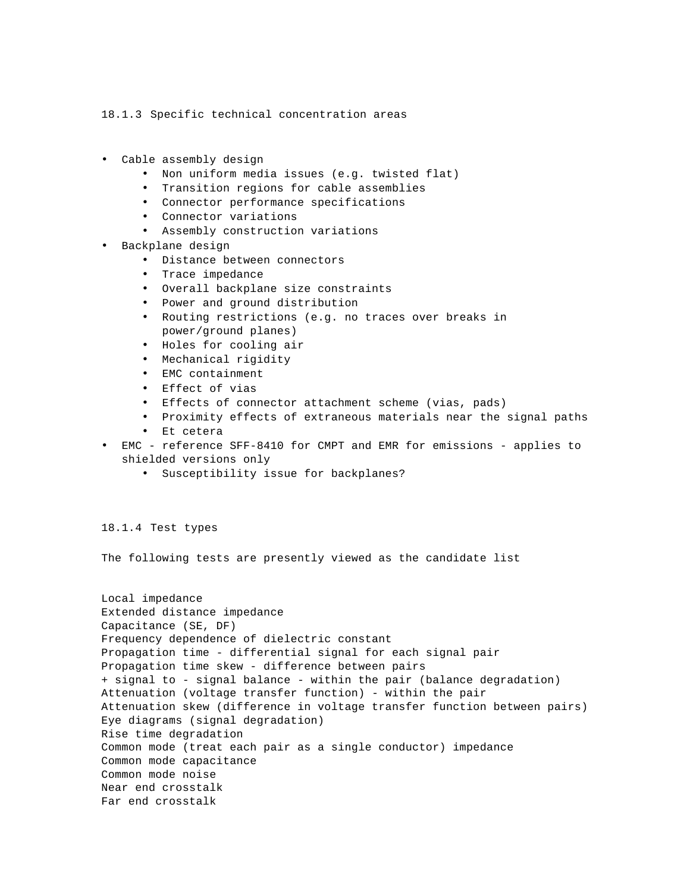18.1.3 Specific technical concentration areas

- Cable assembly design
	- Non uniform media issues (e.g. twisted flat)
	- Transition regions for cable assemblies
	- Connector performance specifications
	- Connector variations
	- Assembly construction variations
- Backplane design
	- Distance between connectors
	- Trace impedance
	- Overall backplane size constraints
	- Power and ground distribution
	- Routing restrictions (e.g. no traces over breaks in power/ground planes)
	- Holes for cooling air
	- Mechanical rigidity
	- EMC containment
	- Effect of vias
	- Effects of connector attachment scheme (vias, pads)
	- Proximity effects of extraneous materials near the signal paths
	- Et cetera
- EMC reference SFF-8410 for CMPT and EMR for emissions applies to shielded versions only
	- Susceptibility issue for backplanes?

18.1.4 Test types

The following tests are presently viewed as the candidate list

```
Local impedance
Extended distance impedance
Capacitance (SE, DF)
Frequency dependence of dielectric constant
Propagation time - differential signal for each signal pair
Propagation time skew - difference between pairs
+ signal to - signal balance - within the pair (balance degradation)
Attenuation (voltage transfer function) - within the pair
Attenuation skew (difference in voltage transfer function between pairs)
Eye diagrams (signal degradation)
Rise time degradation
Common mode (treat each pair as a single conductor) impedance
Common mode capacitance
Common mode noise
Near end crosstalk
Far end crosstalk
```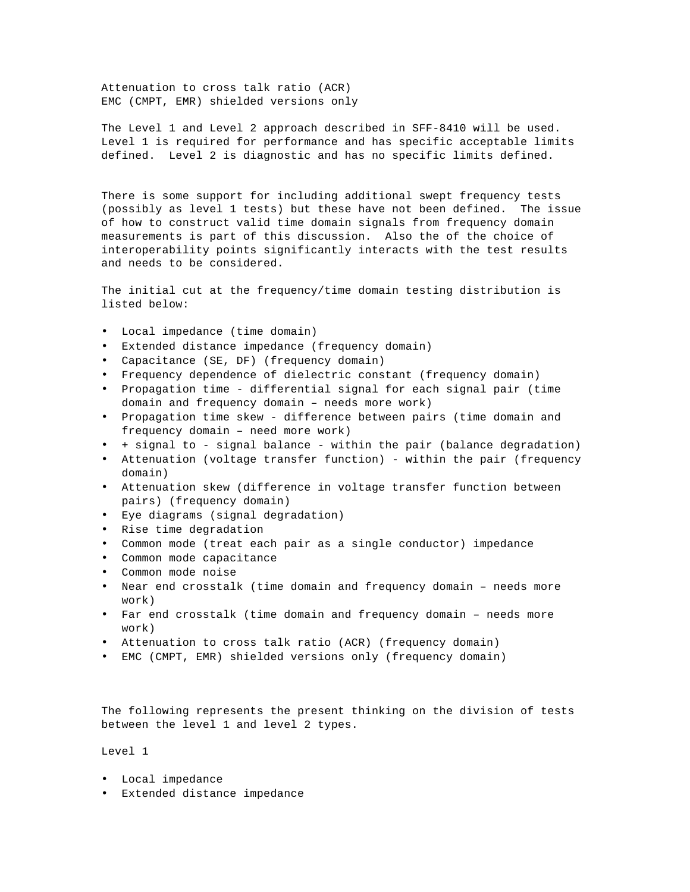Attenuation to cross talk ratio (ACR) EMC (CMPT, EMR) shielded versions only

The Level 1 and Level 2 approach described in SFF-8410 will be used. Level 1 is required for performance and has specific acceptable limits defined. Level 2 is diagnostic and has no specific limits defined.

There is some support for including additional swept frequency tests (possibly as level 1 tests) but these have not been defined. The issue of how to construct valid time domain signals from frequency domain measurements is part of this discussion. Also the of the choice of interoperability points significantly interacts with the test results and needs to be considered.

The initial cut at the frequency/time domain testing distribution is listed below:

- Local impedance (time domain)
- Extended distance impedance (frequency domain)
- Capacitance (SE, DF) (frequency domain)
- Frequency dependence of dielectric constant (frequency domain)
- Propagation time differential signal for each signal pair (time domain and frequency domain – needs more work)
- Propagation time skew difference between pairs (time domain and frequency domain – need more work)
- + signal to signal balance within the pair (balance degradation)
- Attenuation (voltage transfer function) within the pair (frequency domain)
- Attenuation skew (difference in voltage transfer function between pairs) (frequency domain)
- Eye diagrams (signal degradation)
- Rise time degradation
- Common mode (treat each pair as a single conductor) impedance
- Common mode capacitance
- Common mode noise
- Near end crosstalk (time domain and frequency domain needs more work)
- Far end crosstalk (time domain and frequency domain needs more work)
- Attenuation to cross talk ratio (ACR) (frequency domain)
- EMC (CMPT, EMR) shielded versions only (frequency domain)

The following represents the present thinking on the division of tests between the level 1 and level 2 types.

Level 1

- Local impedance
- Extended distance impedance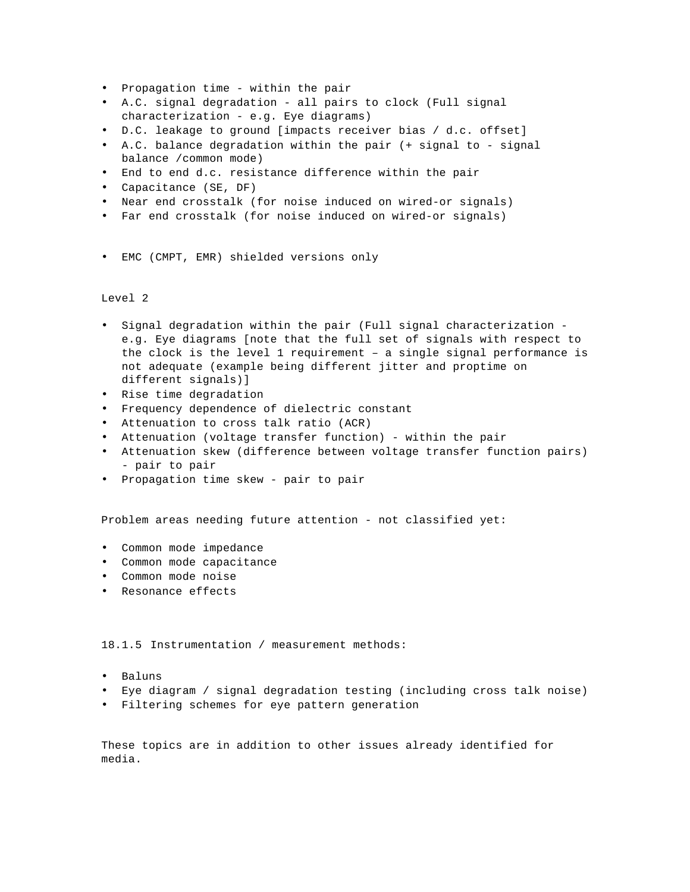- Propagation time within the pair
- A.C. signal degradation all pairs to clock (Full signal characterization - e.g. Eye diagrams)
- D.C. leakage to ground [impacts receiver bias / d.c. offset]
- A.C. balance degradation within the pair (+ signal to signal balance /common mode)
- End to end d.c. resistance difference within the pair
- Capacitance (SE, DF)
- Near end crosstalk (for noise induced on wired-or signals)
- Far end crosstalk (for noise induced on wired-or signals)
- EMC (CMPT, EMR) shielded versions only

## Level 2

- Signal degradation within the pair (Full signal characterization e.g. Eye diagrams [note that the full set of signals with respect to the clock is the level 1 requirement – a single signal performance is not adequate (example being different jitter and proptime on different signals)]
- Rise time degradation
- Frequency dependence of dielectric constant
- Attenuation to cross talk ratio (ACR)
- Attenuation (voltage transfer function) within the pair
- Attenuation skew (difference between voltage transfer function pairs) - pair to pair
- Propagation time skew pair to pair

Problem areas needing future attention - not classified yet:

- Common mode impedance
- Common mode capacitance
- Common mode noise
- Resonance effects

18.1.5 Instrumentation / measurement methods:

- Baluns
- Eye diagram / signal degradation testing (including cross talk noise)
- Filtering schemes for eye pattern generation

These topics are in addition to other issues already identified for media.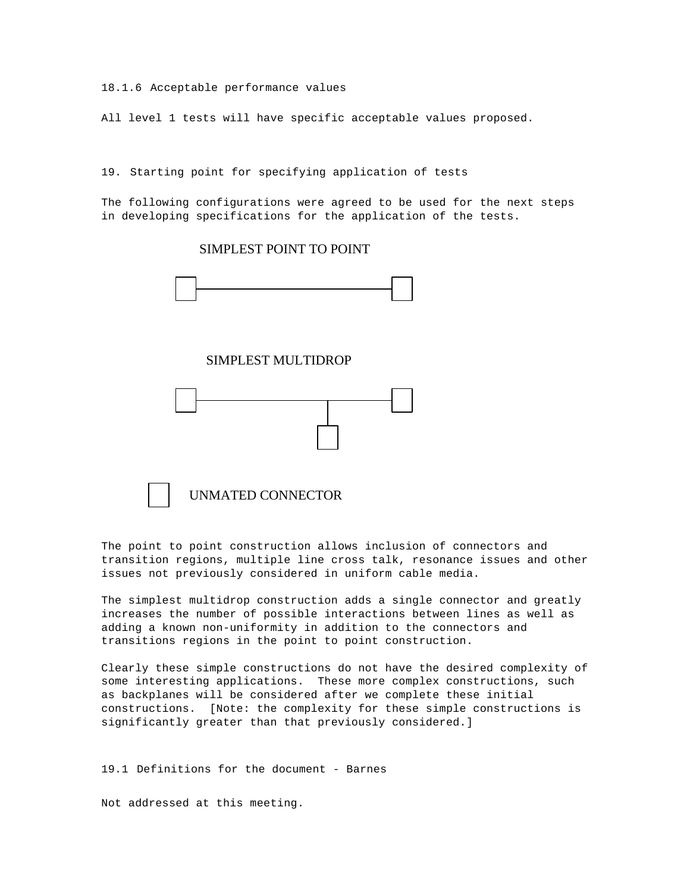18.1.6 Acceptable performance values

All level 1 tests will have specific acceptable values proposed.

19. Starting point for specifying application of tests

The following configurations were agreed to be used for the next steps in developing specifications for the application of the tests.

# SIMPLEST POINT TO POINT



SIMPLEST MULTIDROP





The point to point construction allows inclusion of connectors and transition regions, multiple line cross talk, resonance issues and other issues not previously considered in uniform cable media.

The simplest multidrop construction adds a single connector and greatly increases the number of possible interactions between lines as well as adding a known non-uniformity in addition to the connectors and transitions regions in the point to point construction.

Clearly these simple constructions do not have the desired complexity of some interesting applications. These more complex constructions, such as backplanes will be considered after we complete these initial constructions. [Note: the complexity for these simple constructions is significantly greater than that previously considered.]

19.1 Definitions for the document - Barnes

Not addressed at this meeting.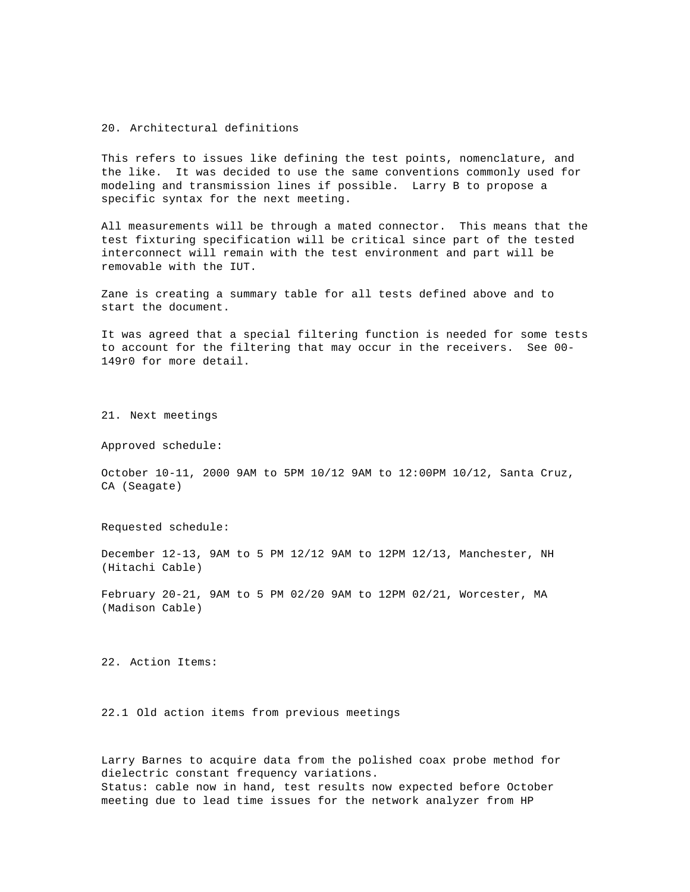#### 20. Architectural definitions

This refers to issues like defining the test points, nomenclature, and the like. It was decided to use the same conventions commonly used for modeling and transmission lines if possible. Larry B to propose a specific syntax for the next meeting.

All measurements will be through a mated connector. This means that the test fixturing specification will be critical since part of the tested interconnect will remain with the test environment and part will be removable with the IUT.

Zane is creating a summary table for all tests defined above and to start the document.

It was agreed that a special filtering function is needed for some tests to account for the filtering that may occur in the receivers. See 00- 149r0 for more detail.

21. Next meetings

Approved schedule:

October 10-11, 2000 9AM to 5PM 10/12 9AM to 12:00PM 10/12, Santa Cruz, CA (Seagate)

Requested schedule:

December 12-13, 9AM to 5 PM 12/12 9AM to 12PM 12/13, Manchester, NH (Hitachi Cable)

February 20-21, 9AM to 5 PM 02/20 9AM to 12PM 02/21, Worcester, MA (Madison Cable)

22. Action Items:

22.1 Old action items from previous meetings

Larry Barnes to acquire data from the polished coax probe method for dielectric constant frequency variations. Status: cable now in hand, test results now expected before October meeting due to lead time issues for the network analyzer from HP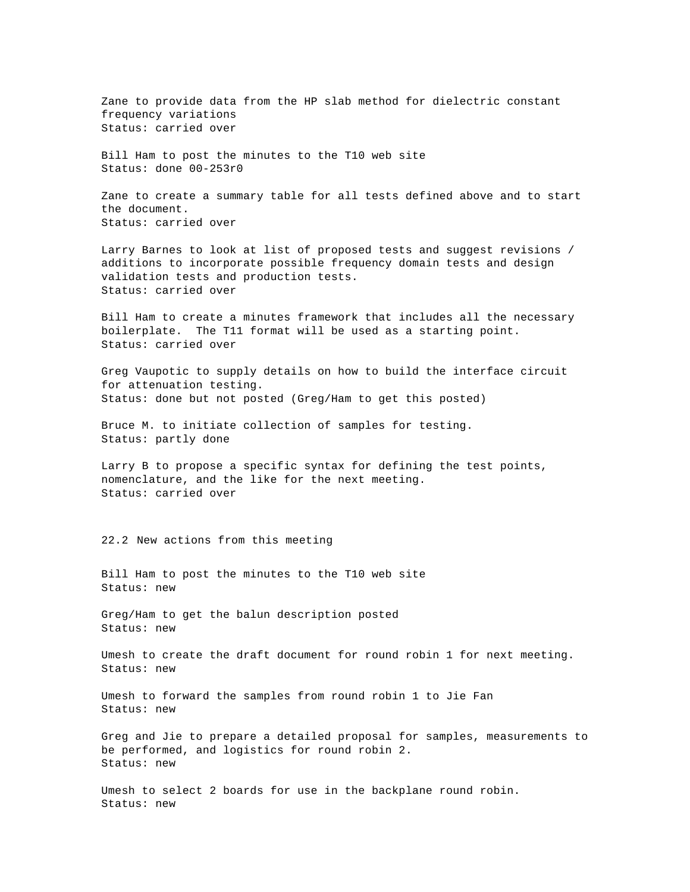Zane to provide data from the HP slab method for dielectric constant frequency variations Status: carried over

Bill Ham to post the minutes to the T10 web site Status: done 00-253r0

Zane to create a summary table for all tests defined above and to start the document. Status: carried over

Larry Barnes to look at list of proposed tests and suggest revisions / additions to incorporate possible frequency domain tests and design validation tests and production tests. Status: carried over

Bill Ham to create a minutes framework that includes all the necessary boilerplate. The T11 format will be used as a starting point. Status: carried over

Greg Vaupotic to supply details on how to build the interface circuit for attenuation testing. Status: done but not posted (Greg/Ham to get this posted)

Bruce M. to initiate collection of samples for testing. Status: partly done

Larry B to propose a specific syntax for defining the test points, nomenclature, and the like for the next meeting. Status: carried over

22.2 New actions from this meeting

Bill Ham to post the minutes to the T10 web site Status: new

Greg/Ham to get the balun description posted Status: new

Umesh to create the draft document for round robin 1 for next meeting. Status: new

Umesh to forward the samples from round robin 1 to Jie Fan Status: new

Greg and Jie to prepare a detailed proposal for samples, measurements to be performed, and logistics for round robin 2. Status: new

Umesh to select 2 boards for use in the backplane round robin. Status: new